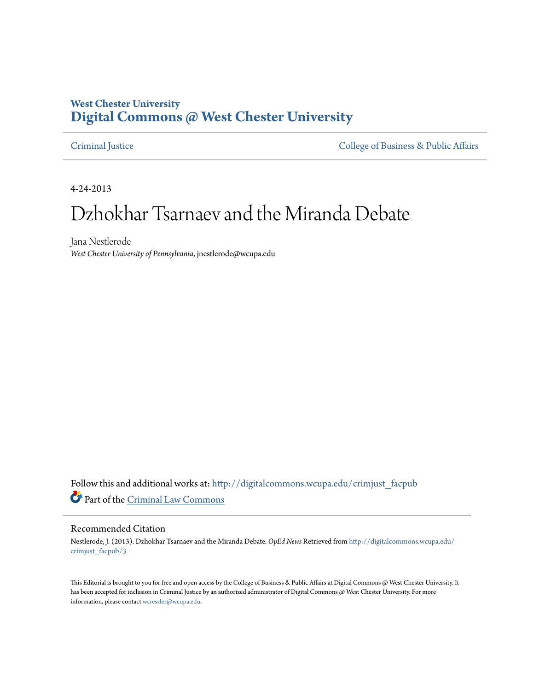## **West Chester University [Digital Commons @ West Chester University](http://digitalcommons.wcupa.edu?utm_source=digitalcommons.wcupa.edu%2Fcrimjust_facpub%2F3&utm_medium=PDF&utm_campaign=PDFCoverPages)**

[Criminal Justice](http://digitalcommons.wcupa.edu/crimjust_facpub?utm_source=digitalcommons.wcupa.edu%2Fcrimjust_facpub%2F3&utm_medium=PDF&utm_campaign=PDFCoverPages) [College of Business & Public Affairs](http://digitalcommons.wcupa.edu/cbpa?utm_source=digitalcommons.wcupa.edu%2Fcrimjust_facpub%2F3&utm_medium=PDF&utm_campaign=PDFCoverPages)

4-24-2013

# Dzhokhar Tsarnaev and the Miranda Debate

Jana Nestlerode *West Chester University of Pennsylvania*, jnestlerode@wcupa.edu

Follow this and additional works at: [http://digitalcommons.wcupa.edu/crimjust\\_facpub](http://digitalcommons.wcupa.edu/crimjust_facpub?utm_source=digitalcommons.wcupa.edu%2Fcrimjust_facpub%2F3&utm_medium=PDF&utm_campaign=PDFCoverPages) Part of the [Criminal Law Commons](http://network.bepress.com/hgg/discipline/912?utm_source=digitalcommons.wcupa.edu%2Fcrimjust_facpub%2F3&utm_medium=PDF&utm_campaign=PDFCoverPages)

#### Recommended Citation

Nestlerode, J. (2013). Dzhokhar Tsarnaev and the Miranda Debate. *OpEd News* Retrieved from [http://digitalcommons.wcupa.edu/](http://digitalcommons.wcupa.edu/crimjust_facpub/3?utm_source=digitalcommons.wcupa.edu%2Fcrimjust_facpub%2F3&utm_medium=PDF&utm_campaign=PDFCoverPages) [crimjust\\_facpub/3](http://digitalcommons.wcupa.edu/crimjust_facpub/3?utm_source=digitalcommons.wcupa.edu%2Fcrimjust_facpub%2F3&utm_medium=PDF&utm_campaign=PDFCoverPages)

This Editorial is brought to you for free and open access by the College of Business & Public Affairs at Digital Commons @ West Chester University. It has been accepted for inclusion in Criminal Justice by an authorized administrator of Digital Commons @ West Chester University. For more information, please contact [wcressler@wcupa.edu.](mailto:wcressler@wcupa.edu)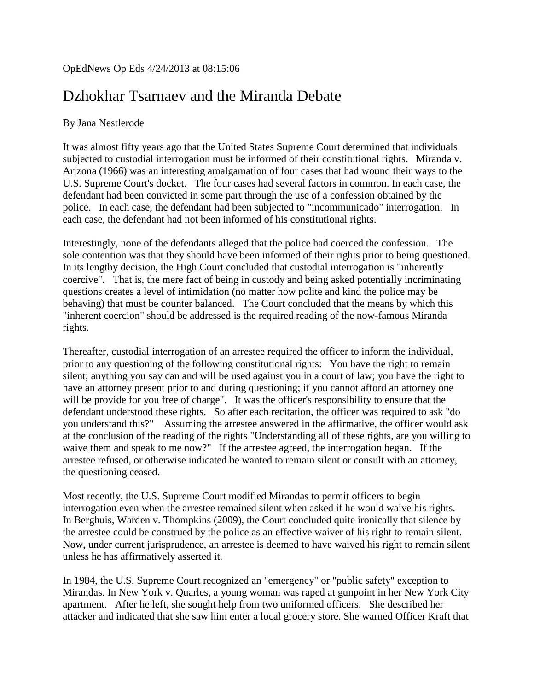### OpEdNews Op Eds 4/24/2013 at 08:15:06

# Dzhokhar Tsarnaev and the Miranda Debate

#### By Jana Nestlerode

It was almost fifty years ago that the United States Supreme Court determined that individuals subjected to custodial interrogation must be informed of their constitutional rights. Miranda v. Arizona (1966) was an interesting amalgamation of four cases that had wound their ways to the U.S. Supreme Court's docket. The four cases had several factors in common. In each case, the defendant had been convicted in some part through the use of a confession obtained by the police. In each case, the defendant had been subjected to "incommunicado" interrogation. In each case, the defendant had not been informed of his constitutional rights.

Interestingly, none of the defendants alleged that the police had coerced the confession. The sole contention was that they should have been informed of their rights prior to being questioned. In its lengthy decision, the High Court concluded that custodial interrogation is "inherently coercive". That is, the mere fact of being in custody and being asked potentially incriminating questions creates a level of intimidation (no matter how polite and kind the police may be behaving) that must be counter balanced. The Court concluded that the means by which this "inherent coercion" should be addressed is the required reading of the now-famous Miranda rights.

Thereafter, custodial interrogation of an arrestee required the officer to inform the individual, prior to any questioning of the following constitutional rights: You have the right to remain silent; anything you say can and will be used against you in a court of law; you have the right to have an attorney present prior to and during questioning; if you cannot afford an attorney one will be provide for you free of charge". It was the officer's responsibility to ensure that the defendant understood these rights. So after each recitation, the officer was required to ask "do you understand this?" Assuming the arrestee answered in the affirmative, the officer would ask at the conclusion of the reading of the rights "Understanding all of these rights, are you willing to waive them and speak to me now?" If the arrestee agreed, the interrogation began. If the arrestee refused, or otherwise indicated he wanted to remain silent or consult with an attorney, the questioning ceased.

Most recently, the U.S. Supreme Court modified Mirandas to permit officers to begin interrogation even when the arrestee remained silent when asked if he would waive his rights. In Berghuis, Warden v. Thompkins (2009), the Court concluded quite ironically that silence by the arrestee could be construed by the police as an effective waiver of his right to remain silent. Now, under current jurisprudence, an arrestee is deemed to have waived his right to remain silent unless he has affirmatively asserted it.

In 1984, the U.S. Supreme Court recognized an "emergency" or "public safety" exception to Mirandas. In New York v. Quarles, a young woman was raped at gunpoint in her New York City apartment. After he left, she sought help from two uniformed officers. She described her attacker and indicated that she saw him enter a local grocery store. She warned Officer Kraft that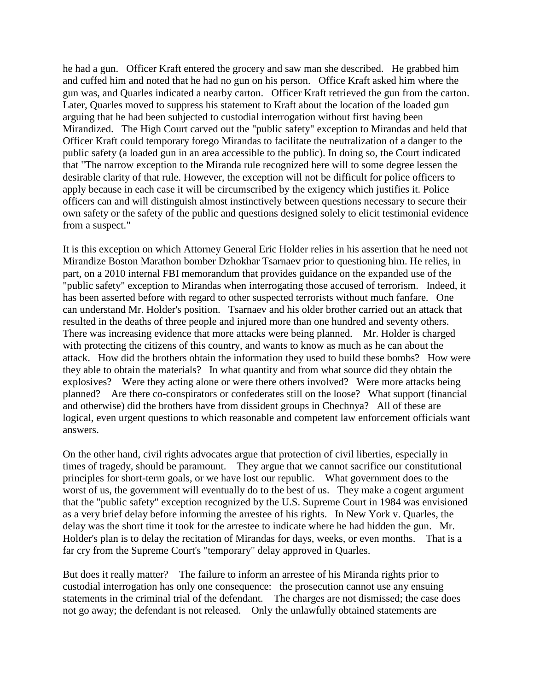he had a gun. Officer Kraft entered the grocery and saw man she described. He grabbed him and cuffed him and noted that he had no gun on his person. Office Kraft asked him where the gun was, and Quarles indicated a nearby carton. Officer Kraft retrieved the gun from the carton. Later, Quarles moved to suppress his statement to Kraft about the location of the loaded gun arguing that he had been subjected to custodial interrogation without first having been Mirandized. The High Court carved out the "public safety" exception to Mirandas and held that Officer Kraft could temporary forego Mirandas to facilitate the neutralization of a danger to the public safety (a loaded gun in an area accessible to the public). In doing so, the Court indicated that "The narrow exception to the Miranda rule recognized here will to some degree lessen the desirable clarity of that rule. However, the exception will not be difficult for police officers to apply because in each case it will be circumscribed by the exigency which justifies it. Police officers can and will distinguish almost instinctively between questions necessary to secure their own safety or the safety of the public and questions designed solely to elicit testimonial evidence from a suspect."

It is this exception on which Attorney General Eric Holder relies in his assertion that he need not Mirandize Boston Marathon bomber Dzhokhar Tsarnaev prior to questioning him. He relies, in part, on a 2010 internal FBI memorandum that provides guidance on the expanded use of the "public safety" exception to Mirandas when interrogating those accused of terrorism. Indeed, it has been asserted before with regard to other suspected terrorists without much fanfare. One can understand Mr. Holder's position. Tsarnaev and his older brother carried out an attack that resulted in the deaths of three people and injured more than one hundred and seventy others. There was increasing evidence that more attacks were being planned. Mr. Holder is charged with protecting the citizens of this country, and wants to know as much as he can about the attack. How did the brothers obtain the information they used to build these bombs? How were they able to obtain the materials? In what quantity and from what source did they obtain the explosives? Were they acting alone or were there others involved? Were more attacks being planned? Are there co-conspirators or confederates still on the loose? What support (financial and otherwise) did the brothers have from dissident groups in Chechnya? All of these are logical, even urgent questions to which reasonable and competent law enforcement officials want answers.

On the other hand, civil rights advocates argue that protection of civil liberties, especially in times of tragedy, should be paramount. They argue that we cannot sacrifice our constitutional principles for short-term goals, or we have lost our republic. What government does to the worst of us, the government will eventually do to the best of us. They make a cogent argument that the "public safety" exception recognized by the U.S. Supreme Court in 1984 was envisioned as a very brief delay before informing the arrestee of his rights. In New York v. Quarles, the delay was the short time it took for the arrestee to indicate where he had hidden the gun. Mr. Holder's plan is to delay the recitation of Mirandas for days, weeks, or even months. That is a far cry from the Supreme Court's "temporary" delay approved in Quarles.

But does it really matter? The failure to inform an arrestee of his Miranda rights prior to custodial interrogation has only one consequence: the prosecution cannot use any ensuing statements in the criminal trial of the defendant. The charges are not dismissed; the case does not go away; the defendant is not released. Only the unlawfully obtained statements are